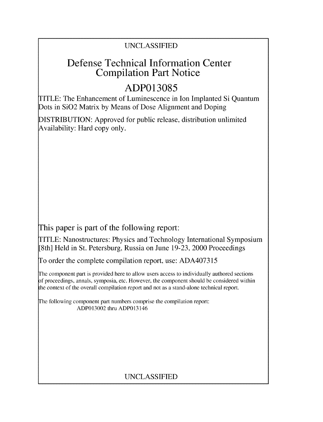## UNCLASSIFIED

## Defense Technical Information Center Compilation Part Notice

# **ADP013085**

TITLE: The Enhancement of Luminescence in Ion Implanted Si Quantum Dots in SiO2 Matrix by Means of Dose Alignment and Doping

DISTRIBUTION: Approved for public release, distribution unlimited Availability: Hard copy only.

This paper is part of the following report:

TITLE: Nanostructures: Physics and Technology International Symposium [8th] Held in St. Petersburg, Russia on June 19-23, 2000 Proceedings

To order the complete compilation report, use: ADA407315

The component part is provided here to allow users access to individually authored sections f proceedings, annals, symposia, etc. However, the component should be considered within the context of the overall compilation report and not as a stand-alone technical report.

The following component part numbers comprise the compilation report: ADP013002 thru ADP013146

## UNCLASSIFIED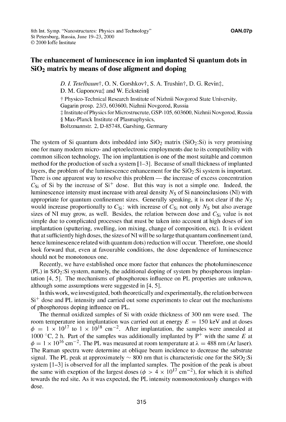#### The enhancement of luminescence in ion implanted Si quantum dots in  $SiO<sub>2</sub>$  matrix by means of dose aligment and doping

*D. I. Tetelbaum*<sup>†</sup>, O. N. Gorshkov†, S. A. Trushin†, D. G. Revin $\ddagger$ , D. M. Gaponova‡ and W. Eckstein§ **T** Physico-Technical Research Institute of Nizhnii Novgorod State University, Gagarin prosp. 23/3, 603600, Nizhnii Novgorod, Russia -: Institute of Physics for Microstrucrute, GSP- 105,603600, Nizhnii Novgorod, Russia § Max-Planck Institute of Plasmaphysics, Boltzmannstr. 2, D-85748, Garshing, Germany

The system of Si quantum dots imbedded into  $SiO<sub>2</sub>$  matrix ( $SiO<sub>2</sub>:Si$ ) is very promising one for many modern micro- and optoelectronic employments due to its compatibility with common silicon technology. The ion implantation is one of the most suitable and common method for the production of such a system  $[1-3]$ . Because of small thickness of implanted layers, the problem of the luminescence enhancement for the  $SiO<sub>2</sub>:Si$  system is important. There is one apparent way to resolve this problem — the increase of excess concentration  $C_{\rm Si}$  of Si by the increase of  $\rm Si^+$  dose. But this way is not a simple one. Indeed, the luminescence intensity must increase with areal density  $N<sub>S</sub>$  of Si nanoinclusions (NI) with appropriate for quantum confinement sizes. Generally speaking, it is not clear if the *Ns* would increase proportionally to  $C_{Si}$ : with increase of  $C_{Si}$  not only  $N_S$  but also average sizes of NI may grow, as well. Besides, the relation between dose and  $C_{\rm Si}$  value is not simple due to complicated processes that must be taken into account at high doses of ion implantation (sputtering, swelling, ion mixing, change of composition, etc). It is evident that at sufficiently high doses, the sizes of NI will be so large that quantum confinement (and, hence luminescence related with quantum dots) reduction will occur. Therefore, one should look forward that, even at favourable conditions, the dose dependence of luminescence should not be monotonous one.

Recently, we have established once more factor that enhances the photoluminescence  $(PL)$  in  $SiO<sub>2</sub>:Si$  system, namely, the additional doping of system by phosphorous implantation [4, 5]. The mechanisms of phosphorous influence on PL properties are unknown, although some assumptions were suggested in [4, 5 *1.*

In this work, we investigated, both theoretically and experimentally, the relation between  $Si<sup>+</sup>$  dose and PL intensity and carried out some experiments to clear out the mechanisms of phosphorous doping influence on PL.

The thermal oxidized samples of Si with oxide thickness of 300 nm were used. The room temperature ion implantation was carried out at energy  $E = 150 \text{ keV}$  and at doses  $\phi = 1 \times 10^{17}$  to  $1 \times 10^{18}$  cm<sup>-2</sup>. After implantation, the samples were annealed at 1000 °C, 2 h. Part of the samples was additionally implanted by  $P^+$  with the same E at  $\phi = 1 \times 10^{16}$  cm<sup>-2</sup>. The PL was measured at room temperature at  $\lambda = 488$  nm (Ar laser). The Raman spectra were determine at oblique beam incidence to decrease the substrate signal. The PL peak at approximately  $\sim 800$  nm that is characteristic one for the SiO<sub>2</sub>:Si system [1-31 is observed for all the implanted samples. The position of the peak is about the same with exeption of the largest doses ( $\phi > 4 \times 10^{17}$  cm<sup>-2</sup>), for which it is shifted towards the red site. As it was expected, the PL intensity nonmonotoniously changes with dose.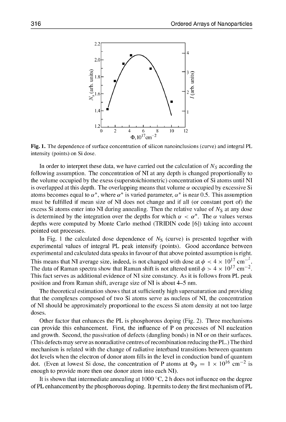

Fig. **1.** The dependence of surface concentration of silicon nanoinclusions (curve) and integral PL intensity (points) on Si dose.

In order to interpret these data, we have carried out the calculation of  $N<sub>S</sub>$  according the following assumption. The concentration of NI at any depth is changed proportionally to the volume occupied by the exess (superstoichiometric) concentration of Si atoms until NI is overlapped at this depth. The overlapping means that volume  $\alpha$  occupied by excessive Si atoms becomes equal to  $\alpha^*$ , where  $\alpha^*$  is varied parameter,  $\alpha^*$  is near 0.5. This assumption must be fulfilled if mean size of NI does not change and if all (or constant port of) the excess Si atoms enter into NI during annealing. Then the relative value of  $N<sub>S</sub>$  at any dose is determined by the integration over the depths for which  $\alpha < \alpha^*$ . The  $\alpha$  values versus depths were computed by Monte Carlo method (TRIDIN code [61) taking into account pointed out processes.

In Fig. 1 the calculated dose dependence of  $N<sub>S</sub>$  (curve) is presented together with experimental values of integral PL peak intensify (points). Good accordance between experimental and calculated data speaks in favour of that above pointed assumption is right. This means that NI average size, indeed, is not changed with dose at  $\phi < 4 \times 10^{17} \text{ cm}^{-2}$ . The data of Raman spectra show that Raman shift is not altered until  $\phi > 4 \times 10^{17}$  cm<sup>-2</sup>. This fact serves as additional evidence of NI size constancy. As it is follows from PL peak position and from Raman shift, average size of NI is about 4-5 nm.

The theoretical estimation shows that at sufficiently high supersaturation and providing that the complexes composed of two Si atoms serve as nucleus of NI, the concentration of NI should be approximately proportional to the excess Si atom density at not too large doses.

Other factor that enhances the PL is phosphorous doping (Fig. 2). Three mechanisms can provide this enhancement. First, the influence of P on processes of NI nucleation and growth. Second, the passivation of defects (dangling bonds) in NI or on their surfaces. (This defects may serve as nonradiative centres of recombination reducing the PL.) The third mechanism is related with the change of radiative interband transitions between quantum dot levels when the electron of donor atom fills in the level in conduction band of quantum dot. (Even at lowest Si dose, the concentration of P atoms at  $\Phi_p = 1 \times 10^{16}$  cm<sup>-2</sup> is enough to provide more then one donor atom into each NI).

It is shown that intermediate annealing at 1000 **'C,** 2 h does not influence on the degree of PL enhancement by the phosphorous doping. It permits to deny the first mechanism of PL